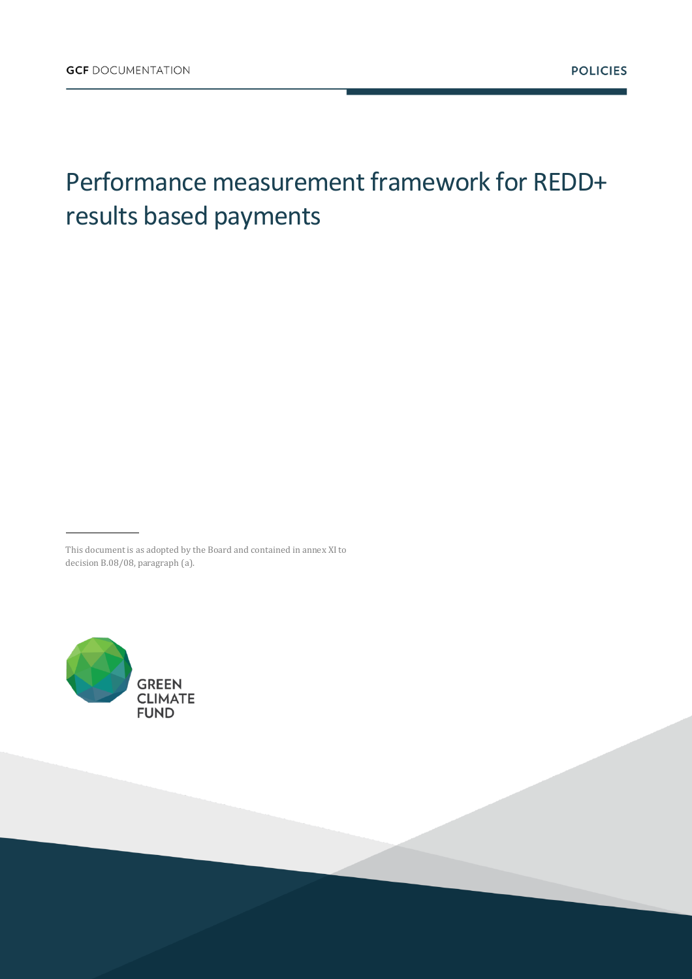## Performance measurement framework for REDD+ results based payments

This document is as adopted by the Board and contained in annex XI to decision B.08/08, paragraph (a).

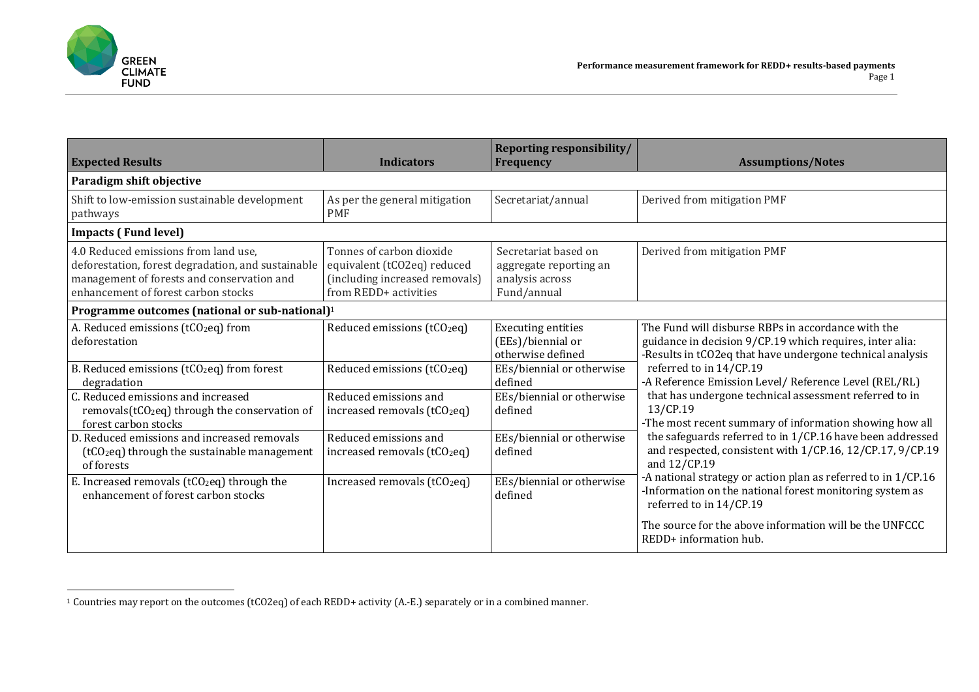

 $\overline{a}$ 

| <b>Expected Results</b>                                                                                                                                                         | <b>Indicators</b>                                                                                                  | <b>Reporting responsibility/</b><br><b>Frequency</b>                             | <b>Assumptions/Notes</b>                                                                                                                                                                                                                                                                                                                                                                                                                                                                                                                                                                                                                                                                           |
|---------------------------------------------------------------------------------------------------------------------------------------------------------------------------------|--------------------------------------------------------------------------------------------------------------------|----------------------------------------------------------------------------------|----------------------------------------------------------------------------------------------------------------------------------------------------------------------------------------------------------------------------------------------------------------------------------------------------------------------------------------------------------------------------------------------------------------------------------------------------------------------------------------------------------------------------------------------------------------------------------------------------------------------------------------------------------------------------------------------------|
| Paradigm shift objective                                                                                                                                                        |                                                                                                                    |                                                                                  |                                                                                                                                                                                                                                                                                                                                                                                                                                                                                                                                                                                                                                                                                                    |
| Shift to low-emission sustainable development<br>pathways                                                                                                                       | As per the general mitigation<br><b>PMF</b>                                                                        | Secretariat/annual                                                               | Derived from mitigation PMF                                                                                                                                                                                                                                                                                                                                                                                                                                                                                                                                                                                                                                                                        |
| <b>Impacts (Fund level)</b>                                                                                                                                                     |                                                                                                                    |                                                                                  |                                                                                                                                                                                                                                                                                                                                                                                                                                                                                                                                                                                                                                                                                                    |
| 4.0 Reduced emissions from land use.<br>deforestation, forest degradation, and sustainable<br>management of forests and conservation and<br>enhancement of forest carbon stocks | Tonnes of carbon dioxide<br>equivalent (tCO2eq) reduced<br>(including increased removals)<br>from REDD+ activities | Secretariat based on<br>aggregate reporting an<br>analysis across<br>Fund/annual | Derived from mitigation PMF                                                                                                                                                                                                                                                                                                                                                                                                                                                                                                                                                                                                                                                                        |
| Programme outcomes (national or sub-national) <sup>1</sup>                                                                                                                      |                                                                                                                    |                                                                                  |                                                                                                                                                                                                                                                                                                                                                                                                                                                                                                                                                                                                                                                                                                    |
| A. Reduced emissions (tCO <sub>2</sub> eq) from<br>deforestation                                                                                                                | Reduced emissions (tCO <sub>2</sub> eq)                                                                            | <b>Executing entities</b><br>(EEs)/biennial or<br>otherwise defined              | The Fund will disburse RBPs in accordance with the<br>guidance in decision 9/CP.19 which requires, inter alia:<br>-Results in tCO2eq that have undergone technical analysis<br>referred to in 14/CP.19<br>-A Reference Emission Level/ Reference Level (REL/RL)<br>that has undergone technical assessment referred to in<br>13/CP.19<br>-The most recent summary of information showing how all<br>the safeguards referred to in 1/CP.16 have been addressed<br>and respected, consistent with 1/CP.16, 12/CP.17, 9/CP.19<br>and 12/CP.19<br>-A national strategy or action plan as referred to in 1/CP.16<br>-Information on the national forest monitoring system as<br>referred to in 14/CP.19 |
| B. Reduced emissions (tCO <sub>2</sub> eq) from forest<br>degradation                                                                                                           | Reduced emissions (tCO <sub>2</sub> eq)                                                                            | EEs/biennial or otherwise<br>defined                                             |                                                                                                                                                                                                                                                                                                                                                                                                                                                                                                                                                                                                                                                                                                    |
| C. Reduced emissions and increased<br>removals(tCO <sub>2</sub> eq) through the conservation of<br>forest carbon stocks                                                         | Reduced emissions and<br>increased removals (tCO <sub>2</sub> eq)                                                  | EEs/biennial or otherwise<br>defined                                             |                                                                                                                                                                                                                                                                                                                                                                                                                                                                                                                                                                                                                                                                                                    |
| D. Reduced emissions and increased removals<br>(tCO <sub>2</sub> eq) through the sustainable management<br>of forests                                                           | Reduced emissions and<br>increased removals (tCO <sub>2</sub> eq)                                                  | EEs/biennial or otherwise<br>defined                                             |                                                                                                                                                                                                                                                                                                                                                                                                                                                                                                                                                                                                                                                                                                    |
| E. Increased removals (tCO <sub>2</sub> eq) through the<br>enhancement of forest carbon stocks                                                                                  | Increased removals (tCO <sub>2</sub> eq)                                                                           | EEs/biennial or otherwise<br>defined                                             |                                                                                                                                                                                                                                                                                                                                                                                                                                                                                                                                                                                                                                                                                                    |
|                                                                                                                                                                                 |                                                                                                                    |                                                                                  | The source for the above information will be the UNFCCC<br>REDD+ information hub.                                                                                                                                                                                                                                                                                                                                                                                                                                                                                                                                                                                                                  |

 $1$  Countries may report on the outcomes (tCO2eq) of each REDD+ activity (A.-E.) separately or in a combined manner.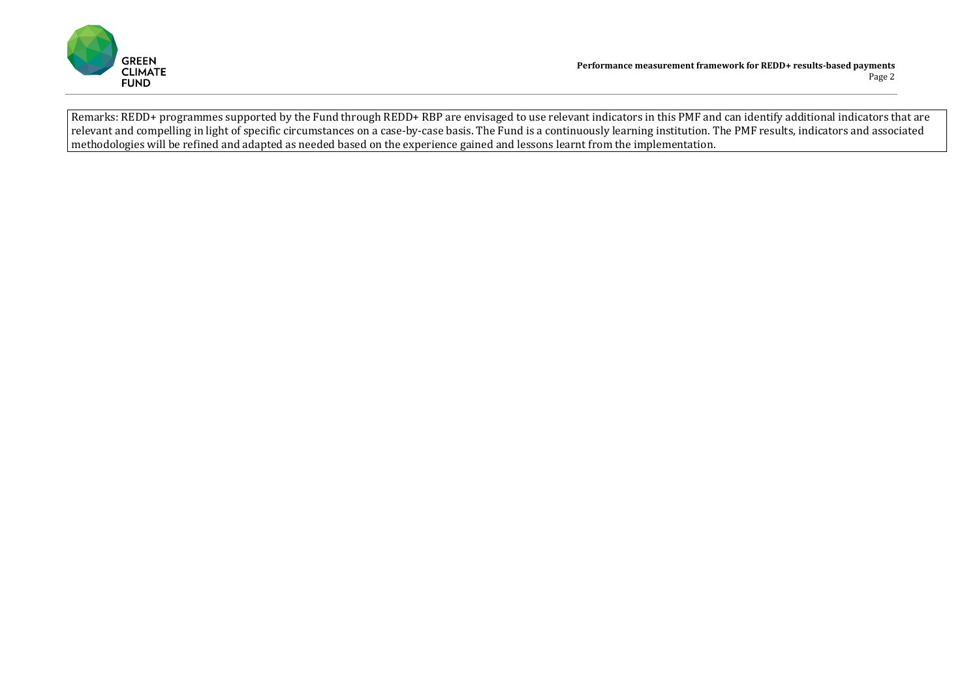

Remarks: REDD+ programmes supported by the Fund through REDD+ RBP are envisaged to use relevant indicators in this PMF and can identify additional indicators that are relevant and compelling in light of specific circumstances on a case-by-case basis. The Fund is a continuously learning institution. The PMF results, indicators and associated methodologies will be refined and adapted as needed based on the experience gained and lessons learnt from the implementation.